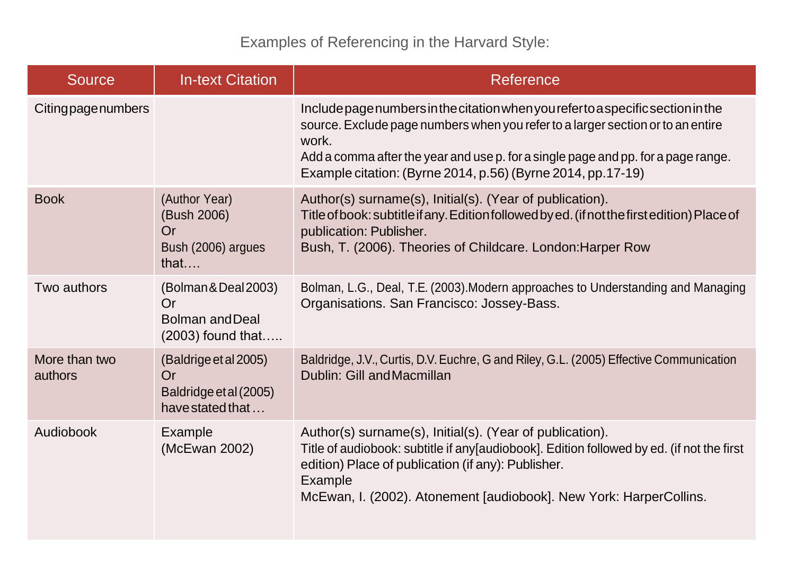Examples of Referencing in the Harvard Style:

| <b>Source</b>            | <b>In-text Citation</b>                                                     | Reference                                                                                                                                                                                                                                                                                                                        |
|--------------------------|-----------------------------------------------------------------------------|----------------------------------------------------------------------------------------------------------------------------------------------------------------------------------------------------------------------------------------------------------------------------------------------------------------------------------|
| Citingpagenumbers        |                                                                             | Include page numbers in the citation when you refer to a specific section in the<br>source. Exclude page numbers when you refer to a larger section or to an entire<br>work.<br>Add a comma after the year and use p. for a single page and pp. for a page range.<br>Example citation: (Byrne 2014, p.56) (Byrne 2014, pp.17-19) |
| <b>Book</b>              | (Author Year)<br>(Bush 2006)<br>Or<br>Bush (2006) argues<br>that            | Author(s) surname(s), Initial(s). (Year of publication).<br>Title of book: subtitle if any. Edition followed by ed. (if not the first edition) Place of<br>publication: Publisher.<br>Bush, T. (2006). Theories of Childcare. London: Harper Row                                                                                 |
| Two authors              | (Bolman & Deal 2003)<br>Or<br><b>Bolman and Deal</b><br>$(2003)$ found that | Bolman, L.G., Deal, T.E. (2003). Modern approaches to Understanding and Managing<br>Organisations. San Francisco: Jossey-Bass.                                                                                                                                                                                                   |
| More than two<br>authors | (Baldrige et al 2005)<br>Or<br>Baldridge et al (2005)<br>have stated that   | Baldridge, J.V., Curtis, D.V. Euchre, G and Riley, G.L. (2005) Effective Communication<br>Dublin: Gill and Macmillan                                                                                                                                                                                                             |
| Audiobook                | Example<br>(McEwan 2002)                                                    | Author(s) surname(s), Initial(s). (Year of publication).<br>Title of audiobook: subtitle if any[audiobook]. Edition followed by ed. (if not the first<br>edition) Place of publication (if any): Publisher.<br>Example<br>McEwan, I. (2002). Atonement [audiobook]. New York: HarperCollins.                                     |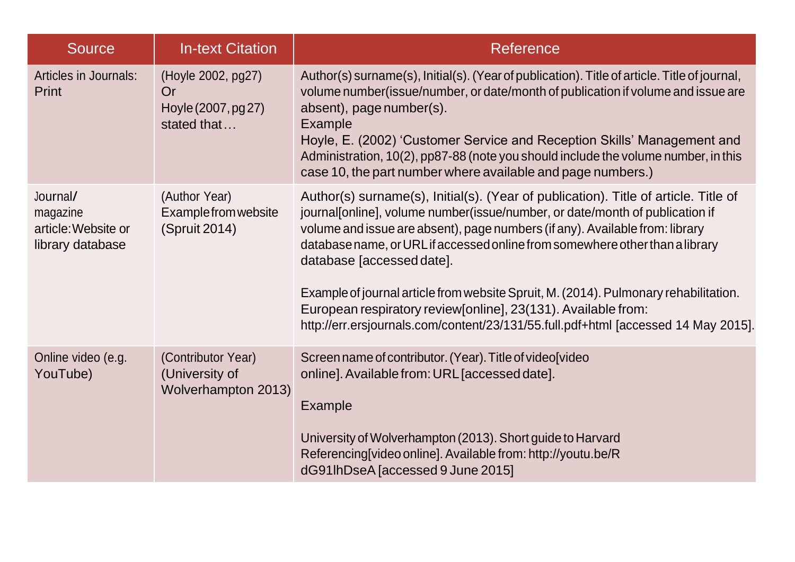| <b>Source</b>                                                   | <b>In-text Citation</b>                                        | <b>Reference</b>                                                                                                                                                                                                                                                                                                                                                                                                                                                                                                                                                                                                |
|-----------------------------------------------------------------|----------------------------------------------------------------|-----------------------------------------------------------------------------------------------------------------------------------------------------------------------------------------------------------------------------------------------------------------------------------------------------------------------------------------------------------------------------------------------------------------------------------------------------------------------------------------------------------------------------------------------------------------------------------------------------------------|
| <b>Articles in Journals:</b><br>Print                           | (Hoyle 2002, pg27)<br>Or<br>Hoyle (2007, pg 27)<br>stated that | Author(s) surname(s), Initial(s). (Year of publication). Title of article. Title of journal,<br>volume number(issue/number, or date/month of publication if volume and issue are<br>absent), page number(s).<br>Example<br>Hoyle, E. (2002) 'Customer Service and Reception Skills' Management and<br>Administration, 10(2), pp87-88 (note you should include the volume number, in this<br>case 10, the part number where available and page numbers.)                                                                                                                                                         |
| Journal/<br>magazine<br>article: Website or<br>library database | (Author Year)<br>Example from website<br>(Spruit 2014)         | Author(s) surname(s), Initial(s). (Year of publication). Title of article. Title of<br>journal[online], volume number(issue/number, or date/month of publication if<br>volume and issue are absent), page numbers (if any). Available from: library<br>database name, or URL if accessed online from somewhere other than a library<br>database [accessed date].<br>Example of journal article from website Spruit, M. (2014). Pulmonary rehabilitation.<br>European respiratory review[online], 23(131). Available from:<br>http://err.ersjournals.com/content/23/131/55.full.pdf+html [accessed 14 May 2015]. |
| Online video (e.g.<br>YouTube)                                  | (Contributor Year)<br>(University of<br>Wolverhampton 2013)    | Screen name of contributor. (Year). Title of video[video<br>online]. Available from: URL [accessed date].<br>Example<br>University of Wolverhampton (2013). Short guide to Harvard<br>Referencing[video online]. Available from: http://youtu.be/R<br>dG91lhDseA [accessed 9 June 2015]                                                                                                                                                                                                                                                                                                                         |